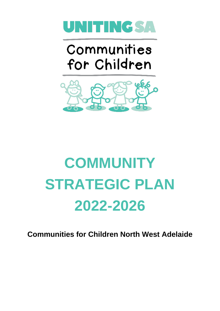

## Communities for Children



# **COMMUNITY STRATEGIC PLAN 2022-2026**

**Communities for Children North West Adelaide**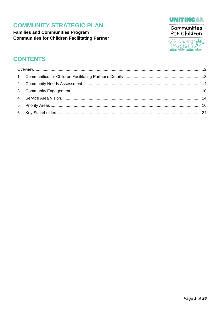**Families and Communities Program Communities for Children Facilitating Partner** 





### **CONTENTS**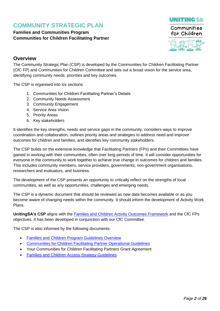#### **Families and Communities Program Communities for Children Facilitating Partner**



### <span id="page-2-0"></span>**Overview**

The Community Strategic Plan (CSP) is developed by the Communities for Children Facilitating Partner (CfC FP) and Communities for Children Committee and sets out a broad vision for the service area, identifying community needs, priorities and key outcomes.

The CSP is organised into six sections:

- 1. Communities for Children Facilitating Partner's Details
- 2. Community Needs Assessment
- 3. Community Engagement
- 4. Service Area Vision
- 5. Priority Areas
- 6. Key stakeholders

It identifies the key strengths, needs and service gaps in the community, considers ways to improve coordination and collaboration, outlines priority areas and strategies to address need and improve outcomes for children and families, and identifies key community stakeholders.

The CSP builds on the extensive knowledge that Facilitating Partners (FPs) and their Committees have gained in working with their communities, often over long periods of time. It will consider opportunities for everyone in the community to work together to achieve true change in outcomes for children and families. This includes community members, service providers, governments, non-government organisations, researchers and evaluators, and business.

The development of the CSP presents an opportunity to critically reflect on the strengths of local communities, as well as any opportunities, challenges and emerging needs.

The CSP is a dynamic document that should be reviewed as new data becomes available or as you become aware of changing needs within the community. It should inform the development of Activity Work Plans.

**UnitingSA's CSP** aligns with the [Families and Children Activity Outcomes](https://www.dss.gov.au/communities-for-children-facilitating-partners-cfc-fp-operational-guidelines) Framework and the CfC FPs objectives. It has been developed in conjunction with our CfC Committee.

The CSP is also informed by the following documents:

- [Families and Children](https://www.dss.gov.au/grants/grant-programmes/families-and-children) Program Guidelines Overview
- [Communities for Children Facilitating Partner](https://www.dss.gov.au/communities-for-children-facilitating-partners-cfc-fp-operational-guidelines) Operational Guidelines
- Your Communities for Children Facilitating Partners Grant Agreement
- [Families and Children Access Strategy](https://www.dss.gov.au/sites/default/files/documents/07_2014/families_and_children_access_strategy_guidelines.pdf) Guidelines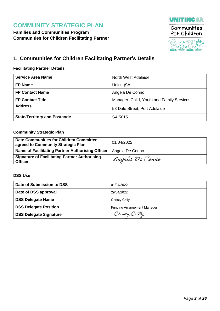



### <span id="page-3-0"></span>**1. Communities for Children Facilitating Partner's Details**

#### **Facilitating Partner Details**

| <b>Service Area Name</b>            | North West Adelaide                       |
|-------------------------------------|-------------------------------------------|
| <b>FP Name</b>                      | UnitingSA                                 |
| <b>FP Contact Name</b>              | Angela De Conno                           |
| <b>FP Contact Title</b>             | Manager, Child, Youth and Family Services |
| <b>Address</b>                      | 58 Dale Street, Port Adelaide             |
| <b>State/Territory and Postcode</b> | SA 5015                                   |

#### **Community Strategic Plan**

| Date Communities for Children Committee<br>agreed to Community Strategic Plan | 01/04/2022      |
|-------------------------------------------------------------------------------|-----------------|
| Name of Facilitating Partner Authorising Officer                              | Angela De Conno |
| <b>Signature of Facilitating Partner Authorising</b><br><b>Officer</b>        | Angela De Conno |

#### **DSS Use**

| Date of Submission to DSS     | 01/04/2022                         |
|-------------------------------|------------------------------------|
| Date of DSS approval          | 29/04/2022                         |
| <b>DSS Delegate Name</b>      | Christy Crilly                     |
| <b>DSS Delegate Position</b>  | <b>Funding Arrangement Manager</b> |
| <b>DSS Delegate Signature</b> | Christy Crilly                     |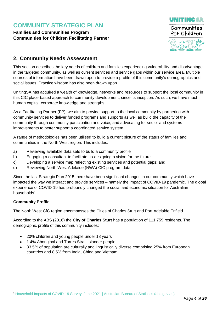**Families and Communities Program Communities for Children Facilitating Partner**



### <span id="page-4-0"></span>**2. Community Needs Assessment**

This section describes the key needs of children and families experiencing vulnerability and disadvantage in the targeted community, as well as current services and service gaps within our service area. Multiple sources of information have been drawn upon to provide a profile of this community's demographics and social issues. Practice wisdom has also been drawn upon.

UnitingSA has acquired a wealth of knowledge, networks and resources to support the local community in this CfC place-based approach to community development, since its inception. As such, we have much human capital, corporate knowledge and strengths.

As a Facilitating Partner (FP), we aim to provide support to the local community by partnering with community services to deliver funded programs and supports as well as build the capacity of the community through community participation and voice, and advocating for sector and systems improvements to better support a coordinated service system.

A range of methodologies has been utilised to build a current picture of the status of families and communities in the North West region. This includes:

- a) Reviewing available data sets to build a community profile
- b) Engaging a consultant to facilitate co-designing a vision for the future
- c) Developing a service map reflecting existing services and potential gaps; and
- d) Reviewing North West Adelaide (NWA) CfC program data

Since the last Strategic Plan 2015 there have been significant changes in our community which have impacted the way we interact and provide services – namely the impact of COVID-19 pandemic. The global experience of COVID-19 has profoundly changed the social and economic situation for Australian households<sup>1</sup>.

#### **Community Profile:**

-

The North West CfC region encompasses the Cities of Charles Sturt and Port Adelaide Enfield.

According to the ABS (2016) the **City of Charles Sturt** has a population of 111,759 residents. The demographic profile of this community includes:

- 20% children and young people under 18 years
- 1.4% Aboriginal and Torres Strait Islander people
- 33.5% of population are culturally and linguistically diverse comprising 25% from European countries and 8.5% from India, China and Vietnam

<sup>1</sup> Household Impacts of COVID-19 Survey, [June 2021 | Australian Bureau of Statistics \(abs.gov.au\)](https://www.abs.gov.au/statistics/people/people-and-communities/household-impacts-covid-19-survey/latest-release)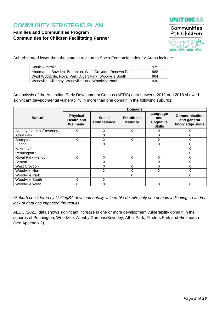### **Families and Communities Program Communities for Children Facilitating Partner**





Suburbs rated lower than the state in relation to Socio-Economic Index for Areas include:

| South Australia                                          | 979 |
|----------------------------------------------------------|-----|
| Hindmarsh, Bowden, Brompton, West Croydon, Renown Park   | 968 |
| West Woodville, Royal Park, Albert Park, Woodville South | 964 |
| Woodville, Kilkenny, Woodville Park, Woodville North     | 930 |

An analysis of the Australian Early Development Census (AEDC) data between 2012 and 2018 showed significant developmental vulnerability in more than one domain in the following suburbs:

|                          | <b>Domains</b>                                    |                                                        |   |                                               |                                                         |  |  |  |
|--------------------------|---------------------------------------------------|--------------------------------------------------------|---|-----------------------------------------------|---------------------------------------------------------|--|--|--|
| <b>Suburb</b>            | <b>Physical</b><br><b>Health and</b><br>Wellbeing | <b>Social</b><br><b>Emotional</b><br><b>Competence</b> |   | Language<br>and<br>Cognitive<br><b>Skills</b> | <b>Communication</b><br>and general<br>knowledge skills |  |  |  |
| Allenby Gardens/Beverley | X                                                 | X                                                      | X | Χ                                             | X                                                       |  |  |  |
| <b>Athol Park</b>        |                                                   | X                                                      |   | X                                             | Χ                                                       |  |  |  |
| <b>Brompton</b>          | X                                                 | Χ                                                      | X | Χ                                             | Χ                                                       |  |  |  |
| Findon                   |                                                   | Χ                                                      |   | Χ                                             | Χ                                                       |  |  |  |
| Kilkenny*                |                                                   |                                                        |   |                                               | Χ                                                       |  |  |  |
| Pennington *             |                                                   |                                                        |   |                                               | Χ                                                       |  |  |  |
| Royal Park-Hendon        | X                                                 | Χ                                                      | X | X                                             | Χ                                                       |  |  |  |
| Seaton                   |                                                   | Χ                                                      |   | Χ                                             | Χ                                                       |  |  |  |
| West Croydon             |                                                   | X                                                      | X | Χ                                             | Χ                                                       |  |  |  |
| <b>Woodville North</b>   |                                                   | X                                                      |   | Χ                                             | Χ                                                       |  |  |  |
| <b>Woodville Park</b>    |                                                   |                                                        | X |                                               | Χ                                                       |  |  |  |
| <b>Woodville South</b>   | X                                                 | X                                                      |   |                                               |                                                         |  |  |  |
| Woodville West           | X                                                 | Χ                                                      |   | Χ                                             | Χ                                                       |  |  |  |

*\*Suburb considered by UnitingSA developmentally vulnerable despite only one domain indicating so and/or lack of data has impacted the results*

AEDC (2021) data shows significant increase in one or more development vulnerability domain in the suburbs of Pennington, Woodville, Allenby Gardens/Beverley, Athol Park, Flinders Park and Hindmarsh (see Appendix 2).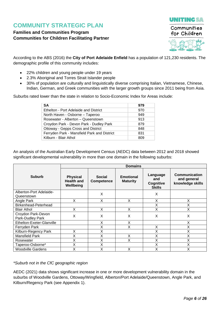### **Families and Communities Program Communities for Children Facilitating Partner**



According to the ABS (2016) the **City of Port Adelaide Enfield** has a population of 121,230 residents. The demographic profile of this community includes:

- 22% children and young people under 19 years
- 2.3% Aboriginal and Torres Strait Islander people
- 30% of population are culturally and linguistically diverse comprising Italian, Vietnamese, Chinese, Indian, German, and Greek communities with the larger growth groups since 2011 being from Asia.

Suburbs rated lower than the state in relation to Socio-Economic Index for Areas include:

| SА                                          | 979 |
|---------------------------------------------|-----|
| Ethelton - Port Adelaide and District       | 970 |
| North Haven - Osborne - Taperoo             | 949 |
| Rosewater - Alberton - Queenstown           | 913 |
| Croydon Park - Devon Park - Dudley Park     | 879 |
| Ottoway - Gepps Cross and District          | 848 |
| Ferryden Park - Mansfield Park and District | 831 |
| Kilburn - Blair Athol                       | 809 |

An analysis of the Australian Early Development Census (AEDC) data between 2012 and 2018 showed significant developmental vulnerability in more than one domain in the following suburbs:

|                                        | <b>Domains</b>                                    |                             |                                     |                                               |                                                  |  |  |  |
|----------------------------------------|---------------------------------------------------|-----------------------------|-------------------------------------|-----------------------------------------------|--------------------------------------------------|--|--|--|
| <b>Suburb</b>                          | <b>Physical</b><br><b>Health and</b><br>Wellbeing | <b>Social</b><br>Competence | <b>Emotional</b><br><b>Maturity</b> | Language<br>and<br>Cognitive<br><b>Skills</b> | Communication<br>and general<br>knowledge skills |  |  |  |
| Alberton-Port Adelaide-                |                                                   | X                           |                                     | X                                             |                                                  |  |  |  |
| Queenstown                             |                                                   |                             |                                     |                                               |                                                  |  |  |  |
| Angle Park                             | X                                                 | Χ                           | X                                   | X                                             | X                                                |  |  |  |
| Birkenhead-Peterhead                   |                                                   |                             |                                     | Χ                                             | Χ                                                |  |  |  |
| <b>Blair Athol</b>                     | X                                                 | Χ                           | X                                   | Χ                                             | X                                                |  |  |  |
| Croydon Park-Devon<br>Park-Dudley Park | X                                                 | X                           | X                                   | X                                             | X                                                |  |  |  |
| Ethelton-Exeter-Glanville              |                                                   | X                           | X                                   |                                               | X                                                |  |  |  |
| Ferryden Park                          |                                                   | X                           | X                                   | X                                             | X                                                |  |  |  |
| Kilburn-Regency Park                   | x                                                 | X                           |                                     | Χ                                             | X                                                |  |  |  |
| Mansfield Park                         | X                                                 | Χ                           | X                                   | X                                             | X                                                |  |  |  |
| Rosewater                              | Χ                                                 | Χ                           | X                                   | Χ                                             | X                                                |  |  |  |
| Taperoo-Osborne*                       | X                                                 | X                           |                                     | X                                             | X                                                |  |  |  |
| <b>Woodville Gardens</b>               | Χ                                                 | X                           | Χ                                   | Χ                                             |                                                  |  |  |  |

#### *\*Suburb not in the CfC geographic region*

AEDC (2021) data shows significant increase in one or more development vulnerability domain in the suburbs of Woodville Gardens, Ottoway/Wingfield, Alberton/Port Adelaide/Queenstown, Angle Park, and Kilburn/Regency Park (see Appendix 1).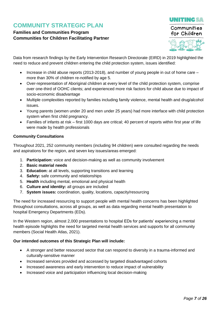### **Families and Communities Program Communities for Children Facilitating Partner**



Data from research findings by the Early Intervention Research Directorate (EIRD) in 2019 highlighted the need to reduce and prevent children entering the child protection system, issues identified:

- $\bullet$  Increase in child abuse reports (2013-2018), and number of young people in out of home care more than 30% of children re-notified by age 5.
- Over-representation of Aboriginal children at every level of the child protection system, comprise over one-third of OOHC clients; and experienced more risk factors for child abuse due to impact of socio-economic disadvantage
- Multiple complexities reported by families including family violence, mental health and drug/alcohol issues.
- Young parents (women under 20 and men under 25 years) had more interface with child protection system when first child pregnancy.
- Families of infants at risk first 1000 days are critical; 40 percent of reports within first year of life were made by health professionals

#### **Community Consultations**

Throughout 2021, 252 community members (including 94 children) were consulted regarding the needs and aspirations for the region, and seven key issues/areas emerged:

- 1. **Participation:** voice and decision-making as well as community involvement
- 2. **Basic material needs**
- 3. **Education:** at all levels, supporting transitions and learning
- 4. **Safety:** safe community and relationships
- 5. **Health** including mental, emotional and physical health
- 6. **Culture and identity:** all groups are included
- 7. **System issues:** coordination, quality, locations, capacity/resourcing

The need for increased resourcing to support people with mental health concerns has been highlighted throughout consultations, across all groups, as well as data regarding mental health presentation to hospital Emergency Departments (EDs).

In the Western region, almost 2,000 presentations to hospital EDs for patients' experiencing a mental health episode highlights the need for targeted mental health services and supports for all community members (Social Health Atlas, 2021).

#### **Our intended outcomes of this Strategic Plan will include:**

- A stronger and better resourced sector that can respond to diversity in a trauma-informed and culturally-sensitive manner
- Increased services provided and accessed by targeted disadvantaged cohorts
- Increased awareness and early intervention to reduce impact of vulnerability
- Increased voice and participation influencing local decision-making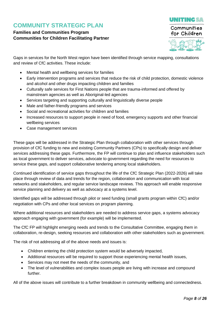### **Families and Communities Program Communities for Children Facilitating Partner**



**UNITINGSA** 

Gaps in services for the North West region have been identified through service mapping, consultations and review of CfC activities. These include:

- Mental health and wellbeing services for families
- Early intervention programs and services that reduce the risk of child protection, domestic violence and alcohol and other drugs impacting children and families
- Culturally safe services for First Nations people that are trauma-informed and offered by mainstream agencies as well as Aboriginal-led agencies
- Services targeting and supporting culturally and linguistically diverse people
- Male and father-friendly programs and services
- Social and recreational activities for children and families
- Increased resources to support people in need of food, emergency supports and other financial wellbeing services
- Case management services

These gaps will be addressed in the Strategic Plan through collaboration with other services through provision of CfC funding to new and existing Community Partners (CPs) to specifically design and deliver services addressing these gaps. Furthermore, the FP will continue to plan and influence stakeholders such as local government to deliver services, advocate to government regarding the need for resources to service these gaps, and support collaborative tendering among local stakeholders.

Continued identification of service gaps throughout the life of the CfC Strategic Plan (2022-2026) will take place through review of data and trends for the region, collaboration and communication with local networks and stakeholders, and regular service landscape reviews. This approach will enable responsive service planning and delivery as well as advocacy at a systems level.

Identified gaps will be addressed through pilot or seed funding (small grants program within CfC) and/or negotiation with CPs and other local services on program planning.

Where additional resources and stakeholders are needed to address service gaps, a systems advocacy approach engaging with government (for example) will be implemented.

The CfC FP will highlight emerging needs and trends to the Consultative Committee, engaging them in collaboration, re-design, seeking resources and collaboration with other stakeholders such as government.

The risk of not addressing all of the above needs and issues is:

- Children entering the child protection system would be adversely impacted,
- Additional resources will be required to support those experiencing mental health issues,
- Services may not meet the needs of the community, and
- The level of vulnerabilities and complex issues people are living with increase and compound further.

All of the above issues will contribute to a further breakdown in community wellbeing and connectedness.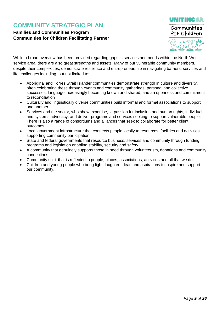### **Families and Communities Program Communities for Children Facilitating Partner**



While a broad overview has been provided regarding gaps in services and needs within the North West service area, there are also great strengths and assets. Many of our vulnerable community members, despite their complexities, demonstrate resilience and entrepreneurship in navigating barriers, services and life challenges including, but not limited to:

- Aboriginal and Torres Strait Islander communities demonstrate strength in culture and diversity, often celebrating these through events and community gatherings, personal and collective successes, language increasingly becoming known and shared, and an openness and commitment to reconciliation
- Culturally and linguistically diverse communities build informal and formal associations to support one another
- Services and the sector, who show expertise, a passion for inclusion and human rights, individual and systems advocacy, and deliver programs and services seeking to support vulnerable people. There is also a range of consortiums and alliances that seek to collaborate for better client outcomes
- Local government infrastructure that connects people locally to resources, facilities and activities supporting community participation
- State and federal governments that resource business, services and community through funding, programs and legislation enabling stability, security and safety
- A community that genuinely supports those in need through volunteerism, donations and community connections
- Community spirit that is reflected in people, places, associations, activities and all that we do
- Children and young people who bring light, laughter, ideas and aspirations to inspire and support our community.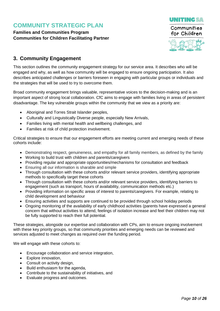**Families and Communities Program Communities for Children Facilitating Partner**



### <span id="page-10-0"></span>**3. Community Engagement**

This section outlines the community engagement strategy for our service area. It describes who will be engaged and why, as well as how community will be engaged to ensure ongoing participation. It also describes anticipated challenges or barriers foreseen in engaging with particular groups or individuals and the strategies that will be used to try to overcome them.

Broad community engagement brings valuable, representative voices to the decision-making and is an important aspect of strong local collaboration. CfC aims to engage with families living in areas of persistent disadvantage. The key vulnerable groups within the community that we view as a priority are:

- Aboriginal and Torres Strait Islander peoples,
- Culturally and Linguistically Diverse people, especially New Arrivals,
- Families living with mental health and wellbeing challenges, and
- Families at risk of child protection involvement.

Critical strategies to ensure that our engagement efforts are meeting current and emerging needs of these cohorts include:

- Demonstrating respect, genuineness, and empathy for all family members, as defined by the family
- Working to build trust with children and parents/caregivers
- Providing regular and appropriate opportunities/mechanisms for consultation and feedback
- Ensuring all our information is sharable and simple
- Through consultation with these cohorts and/or relevant service providers, identifying appropriate methods to specifically target these cohorts
- Through consultation with these cohorts and/or relevant service providers, identifying barriers to engagement (such as transport, hours of availability, communication methods etc.)
- Providing information on specific areas of interest to parents/caregivers. For example, relating to child development and behaviour
- Ensuring activities and supports are continued to be provided through school holiday periods
- Ongoing monitoring of the availability of early childhood activities (parents have expressed a general concern that without activities to attend, feelings of isolation increase and feel their children may not be fully supported to reach their full potential.

These strategies, alongside our expertise and collaboration with CPs, aim to ensure ongoing involvement with these key priority groups, so that community priorities and emerging needs can be reviewed and services adjusted to meet changes as required over the funding period.

We will engage with these cohorts to:

- Encourage collaboration and service integration,
- Explore innovation,
- Consult on activity design,
- Build enthusiasm for the agenda,
- Contribute to the sustainability of initiatives, and
- Evaluate progress and outcomes.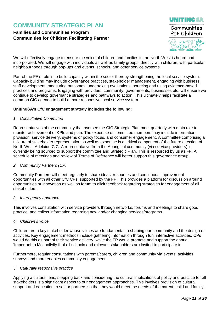### **Families and Communities Program Communities for Children Facilitating Partner**



We will effectively engage to ensure the voice of children and families in the North West is heard and incorporated. We will engage with individuals as well as family groups, directly with children, with particular neighbourhoods through pop-ups and events, schools, and other service systems.

Part of the FP's role is to build capacity within the sector thereby strengthening the local service system. Capacity building may include governance practices, stakeholder management, engaging with business, staff development, measuring outcomes, undertaking evaluations, sourcing and using evidence-based practices and programs. Engaging with providers, community, governments, businesses etc. will ensure we continue to develop governance strategies and pathways to action. This ultimately helps facilitate a common CfC agenda to build a more responsive local service system.

#### **UnitingSA's CfC engagement strategy includes the following:**

#### *1. Consultative Committee*

Representatives of the community that oversee the CfC Strategic Plan meet quarterly with main role to monitor achievement of KPIs and plan. The expertise of committee members may include information provision, service delivery, systems or policy focus, and consumer engagement. A committee comprising a mixture of stakeholder representation as well as expertise is a critical component of the future direction of North West Adelaide CfC. A representative from the Aboriginal community (via service providers) is currently being sourced to support the committee and Strategic Plan. This is resourced by us as FP. A schedule of meetings and review of Terms of Reference will better support this governance group.

#### *2. Community Partners (CP)*

Community Partners will meet regularly to share ideas, resources and continuous improvement opportunities with all other CfC CPs, supported by the FP. This provides a platform for discussion around opportunities or innovation as well as forum to elicit feedback regarding strategies for engagement of all stakeholders.

#### *3. Interagency approach*

This involves consultation with service providers through networks, forums and meetings to share good practice, and collect information regarding new and/or changing services/programs.

*4. Children's voice*

Children are a key stakeholder whose voices are fundamental to shaping our community and the design of activities. Key engagement methods include gathering information through fun, interactive activities. CPs would do this as part of their service delivery, while the FP would promote and support the annual 'Important to Me' activity that all schools and relevant stakeholders are invited to participate in.

Furthermore, regular consultations with parents/carers, children and community via events, activities, surveys and more enables community engagement.

#### *5. Culturally responsive practice*

Applying a cultural lens, stepping back and considering the cultural implications of policy and practice for all stakeholders is a significant aspect to our engagement approaches. This involves provision of cultural support and education to sector partners so that they would meet the needs of the parent, child and family.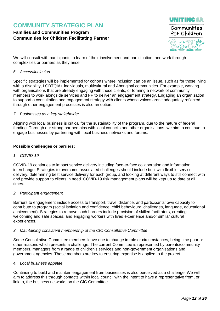### **Families and Communities Program Communities for Children Facilitating Partner**



We will consult with participants to learn of their involvement and participation, and work through complexities or barriers as they arise.

#### *6. Access/inclusion*

Specific strategies will be implemented for cohorts where inclusion can be an issue, such as for those living with a disability, LGBTQIA+ individuals, multicultural and Aboriginal communities. For example, working with organisations that are already engaging with these clients, or forming a network of community members to work alongside services and FP to deliver an engagement strategy. Engaging an organisation to support a consultation and engagement strategy with clients whose voices aren't adequately reflected through other engagement processes is also an option.

#### *7. Businesses as a key stakeholder*

Aligning with local business is critical for the sustainability of the program, due to the nature of federal funding. Through our strong partnerships with local councils and other organisations, we aim to continue to engage businesses by partnering with local business networks and forums.

#### **Possible challenges or barriers:**

#### *1. COVID-19*

COVID-19 continues to impact service delivery including face-to-face collaboration and information interchange. Strategies to overcome associated challenges should include built with flexible service delivery, determining best service delivery for each group, and looking at different ways to still connect with and provide support to clients in need. COVID-19 risk management plans will be kept up to date at all times.

#### *2. Participant engagement*

Barriers to engagement include access to transport, travel distance, and participants' own capacity to contribute to program (social isolation and confidence, child behavioural challenges, language, educational achievement). Strategies to remove such barriers include provision of skilled facilitators, creating welcoming and safe spaces, and engaging workers with lived experience and/or similar cultural experiences.

#### *3. Maintaining consistent membership of the CfC Consultative Committee*

Some Consultative Committee members leave due to change in role or circumstances, being time poor or other reasons which presents a challenge. The current Committee is represented by parents/community members, managers from a range of children's services and non-government organisations and government agencies. These members are key to ensuring expertise is applied to the project.

#### *4. Local business appetite*

Continuing to build and maintain engagement from businesses is also perceived as a challenge. We will aim to address this through contacts within local council with the intent to have a representative from, or link to, the business networks on the CfC Committee.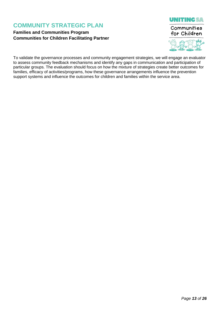### **Families and Communities Program Communities for Children Facilitating Partner**





To validate the governance processes and community engagement strategies, we will engage an evaluator to assess community feedback mechanisms and identify any gaps in communication and participation of particular groups. The evaluation should focus on how the mixture of strategies create better outcomes for families, efficacy of activities/programs, how these governance arrangements influence the prevention support systems and influence the outcomes for children and families within the service area.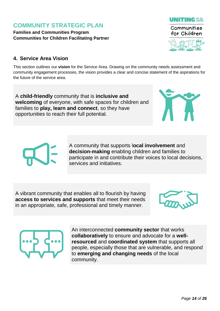**Families and Communities Program Communities for Children Facilitating Partner**

## Communities for Children

**UNITING SA** 

### <span id="page-14-0"></span>**4. Service Area Vision**

This section outlines our **vision** for the Service Area. Drawing on the community needs assessment and community engagement processes, the vision provides a clear and concise statement of the aspirations for the future of the service area.

A **child-friendly** community that is **inclusive and welcoming** of everyone, with safe spaces for children and families to **play, learn and connect**, so they have opportunities to reach their full potential.

> A community that supports l**ocal involvement** and **decision-making** enabling children and families to participate in and contribute their voices to local decisions, services and initiatives.

A vibrant community that enables all to flourish by having **access to services and supports** that meet their needs in an appropriate, safe, professional and timely manner.





An interconnected **community sector** that works **collaboratively** to ensure and advocate for a **wellresourced** and **coordinated system** that supports all people, especially those that are vulnerable, and respond to **emerging and changing needs** of the local community.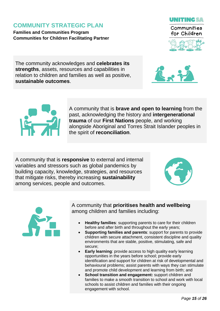**Families and Communities Program Communities for Children Facilitating Partner**



**UNITINGSA** 

The community acknowledges and **celebrates its strengths**, assets, resources and capabilities in relation to children and families as well as positive, **sustainable outcomes**.





A community that is **brave and open to learning** from the past, acknowledging the history and **intergenerational trauma** of our **First Nations** people, and working alongside Aboriginal and Torres Strait Islander peoples in the spirit of **reconciliation**.

A community that is **responsive** to external and internal variables and stressors such as global pandemics by building capacity, knowledge, strategies, and resources that mitigate risks, thereby increasing **sustainability** among services, people and outcomes.





A community that **prioritises health and wellbeing** among children and families including:

- **Healthy families**: supporting parents to care for their children before and after birth and throughout the early years;
- **Supporting families and parents**: support for parents to provide children with secure attachment, consistent discipline and quality environments that are stable, positive, stimulating, safe and secure;
- **Early learning**: provide access to high quality early learning opportunities in the years before school; provide early identification and support for children at risk of developmental and behavioural problems; assist parents with ways they can stimulate and promote child development and learning from birth; and
- **School transition and engagement:** support children and families to make a smooth transition to school and work with local schools to assist children and families with their ongoing engagement with school.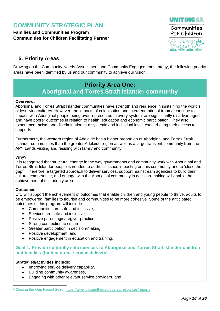**Families and Communities Program Communities for Children Facilitating Partner**



### <span id="page-16-0"></span>**5. Priority Areas**

Drawing on the Community Needs Assessment and Community Engagement strategy, the following priority areas have been identified by us and our community to achieve our vision.

### **Priority Area One: Aboriginal and Torres Strait Islander community**

#### **Overview:**

Aboriginal and Torres Strait Islander communities have strength and resilience in sustaining the world's oldest living cultures. However, the impacts of colonisation and intergenerational trauma continue to impact, with Aboriginal people being over represented in every system, are significantly disadvantaged and have poorer outcomes in relation to health, education and economic participation. They also experience racism and discrimination at a systemic and individual level, exacerbating their access to supports.

Furthermore, the western region of Adelaide has a higher proportion of Aboriginal and Torres Strait Islander communities than the greater Adelaide region as well as a large transient community from the APY Lands visiting and residing with family and community.

#### **Why?**

It is recognised that structural change in the way governments and community work with Aboriginal and Torres Strait Islander people is needed to address issues impacting on this community and to 'close the gap'<sup>2</sup> . Therefore, a targeted approach to deliver services, support mainstream agencies to build their cultural competence, and engage with the Aboriginal community in decision-making will enable the achievement of this priority area.

#### **Outcomes:**

-

CfC will support the achievement of outcomes that enable children and young people to thrive, adults to be empowered, families to flourish and communities to be more cohesive. Some of the anticipated outcomes of this program will include:

- Communities are safe and inclusive
- Services are safe and inclusive,
- Positive parenting/caregiver practice,
- Strong connection to culture,
- Greater participation in decision-making,
- Positive development, and
- Positive engagement in education and training.

**Goal 1: Provide culturally safe services to Aboriginal and Torres Strait Islander children and families (funded direct service delivery)**

#### **Strategies/activities include:**

- Improving service delivery capability,
- Building community awareness,
- Engaging with other relevant service providers, and

<sup>2</sup> Closing the Gap Report 2020,<https://www.closingthegap.gov.au/resources/reports>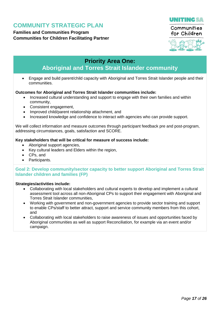**Families and Communities Program Communities for Children Facilitating Partner**





### **Priority Area One: Aboriginal and Torres Strait Islander community**

 Engage and build parent/child capacity with Aboriginal and Torres Strait Islander people and their communities.

#### **Outcomes for Aboriginal and Torres Strait Islander communities include:**

- Increased cultural understanding and support to engage with their own families and within community,
- Consistent engagement,
- Improved child/parent relationship attachment, and
- Increased knowledge and confidence to interact with agencies who can provide support.

We will collect information and measure outcomes through participant feedback pre and post-program, addressing circumstances, goals, satisfaction and SCORE.

#### **Key stakeholders that will be critical for measure of success include:**

- Aboriginal support agencies,
- Key cultural leaders and Elders within the region,
- CPs, and
- Participants.

#### **Goal 2: Develop community/sector capacity to better support Aboriginal and Torres Strait Islander children and families (FP)**

#### **Strategies/activities include:**

- Collaborating with local stakeholders and cultural experts to develop and implement a cultural assessment tool across all non-Aboriginal CPs to support their engagement with Aboriginal and Torres Strait Islander communities,
- Working with government and non-government agencies to provide sector training and support to enable CPs/staff to better attract, support and service community members from this cohort, and
- Collaborating with local stakeholders to raise awareness of issues and opportunities faced by Aboriginal communities as well as support Reconciliation, for example via an event and/or campaign.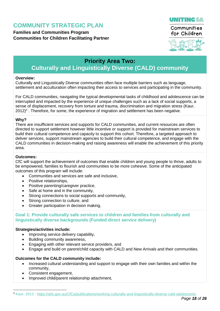**Families and Communities Program Communities for Children Facilitating Partner**





### **Priority Area Two:**

### **Culturally and Linguistically Diverse (CALD) community**

#### **Overview:**

Culturally and Linguistically Diverse communities often face multiple barriers such as language, settlement and acculturation often impacting their access to services and participating in the community.

For CALD communities, navigating the typical developmental tasks of childhood and adolescence can be interrupted and impacted by the experience of unique challenges such as a lack of social supports, a sense of displacement, recovery from torture and trauma, discrimination and migration stress (Kaur,  $2012$ <sup>3</sup>. Therefore, for some, the experience of migration and settlement has been negative.

#### **Why?**

There are insufficient services and supports for CALD communities, and current resources are often directed to support settlement however little incentive or support is provided for mainstream services to build their cultural competence and capacity to support this cohort. Therefore, a targeted approach to deliver services, support mainstream agencies to build their cultural competence, and engage with the CALD communities in decision-making and raising awareness will enable the achievement of this priority area.

#### **Outcomes:**

CfC will support the achievement of outcomes that enable children and young people to thrive, adults to be empowered, families to flourish and communities to be more cohesive. Some of the anticipated outcomes of this program will include:

- Communities and services are safe and inclusive,
- Positive relationships,
- Positive parenting/caregiver practice,
- Safe at home and in the community,
- Strong connections to social supports and community,
- Strong connection to culture, and
- Greater participation in decision making.

**Goal 1: Provide culturally safe services to children and families from culturally and linguistically diverse backgrounds (Funded direct service delivery)**

#### **Strategies/activities include:**

- Improving service delivery capability,
- Building community awareness,
- Engaging with other relevant service providers, and
- Engage and build on parent/child capacity with CALD and New Arrivals and their communities.

#### **Outcomes for the CALD community include:**

- Increased cultural understanding and support to engage with their own families and within the community,
- Consistent engagement,
- Improved child/parent relationship attachment,

-<sup>3</sup> Kaur, 2012 - [https://aifs.gov.au/CfCa/publications/working-culturally-and-linguistically-diverse-cald-adolescents](https://aifs.gov.au/cfca/publications/working-culturally-and-linguistically-diverse-cald-adolescents)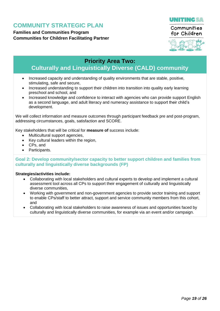**Families and Communities Program Communities for Children Facilitating Partner**





### **Priority Area Two:**

### **Culturally and Linguistically Diverse (CALD) community**

- Increased capacity and understanding of quality environments that are stable, positive, stimulating, safe and secure,
- Increased understanding to support their children into transition into quality early learning preschool and school, and
- Increased knowledge and confidence to interact with agencies who can provide support English as a second language, and adult literacy and numeracy assistance to support their child's development.

We will collect information and measure outcomes through participant feedback pre and post-program, addressing circumstances, goals, satisfaction and SCORE.

Key stakeholders that will be critical for **measure of** success include:

- Multicultural support agencies,
- Key cultural leaders within the region,
- CPs, and
- Participants.

#### **Goal 2: Develop community/sector capacity to better support children and families from culturally and linguistically diverse backgrounds (FP)**

#### **Strategies/activities include:**

- Collaborating with local stakeholders and cultural experts to develop and implement a cultural assessment tool across all CPs to support their engagement of culturally and linguistically diverse communities,
- Working with government and non-government agencies to provide sector training and support to enable CPs/staff to better attract, support and service community members from this cohort, and
- Collaborating with local stakeholders to raise awareness of issues and opportunities faced by culturally and linguistically diverse communities, for example via an event and/or campaign.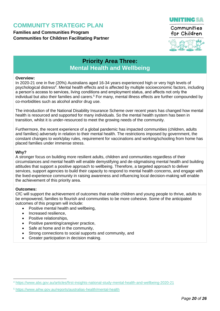### **Families and Communities Program Communities for Children Facilitating Partner**



Communities for Children



### **Priority Area Three: Mental Health and Wellbeing**

#### **Overview:**

In 2020-21 one in five (20%) Australians aged 16-34 years experienced high or very high levels of psychological distress<sup>4</sup>. Mental health effects and is affected by multiple socioeconomic factors, including a person's access to services, living conditions and employment status, and affects not only the individual but also their families and carers.<sup>5</sup> For many, mental illness effects are further compounded by co-morbidities such as alcohol and/or drug use.

The introduction of the National Disability Insurance Scheme over recent years has changed how mental health is resourced and supported for many individuals. So the mental health system has been in transition, whilst it is under-resourced to meet the growing needs of the community.

Furthermore, the recent experience of a global pandemic has impacted communities (children, adults and families) adversely in relation to their mental health. The restrictions imposed by government, the constant changes to work/play rules, requirement for vaccinations and working/schooling from home has placed families under immense stress.

#### **Why?**

A stronger focus on building more resilient adults, children and communities regardless of their circumstances and mental health will enable demystifying and de-stigmatising mental health and building attitudes that support a positive approach to wellbeing. Therefore, a targeted approach to deliver services, support agencies to build their capacity to respond to mental health concerns, and engage with the lived-experience community in raising awareness and influencing local decision-making will enable the achievement of this priority area.

#### **Outcomes:**

-

CfC will support the achievement of outcomes that enable children and young people to thrive, adults to be empowered, families to flourish and communities to be more cohesive. Some of the anticipated outcomes of this program will include:

- Positive mental health and wellbeing,<br>• Increased resilience
- Increased resilience,
- Positive relationships,
- Positive parenting/caregiver practice,
- Safe at home and in the community,
- Strong connections to social supports and community, and
- Greater participation in decision making.

<sup>4</sup> <https://www.abs.gov.au/articles/first-insights-national-study-mental-health-and-wellbeing-2020-21>

<sup>5</sup> <https://www.aihw.gov.au/reports/australias-health/mental-health>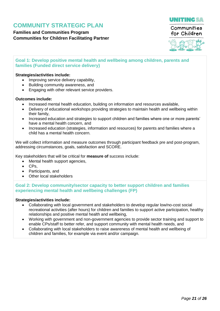**Families and Communities Program Communities for Children Facilitating Partner**





#### **Goal 1: Develop positive mental health and wellbeing among children, parents and families (Funded direct service delivery)**

#### **Strategies/activities include:**

- Improving service delivery capability,
- Building community awareness, and
- Engaging with other relevant service providers.

#### **Outcomes include:**

- Increased mental health education, building on information and resources available,
- Delivery of educational workshops providing strategies to maintain health and wellbeing within their family,
- Increased education and strategies to support children and families where one or more parents' have a mental health concern, and
- Increased education (strategies, information and resources) for parents and families where a child has a mental health concern.

We will collect information and measure outcomes through participant feedback pre and post-program, addressing circumstances, goals, satisfaction and SCORE.

Key stakeholders that will be critical for **measure of** success include:

- Mental health support agencies,
- CPs,
- Participants, and
- Other local stakeholders

**Goal 2: Develop community/sector capacity to better support children and families experiencing mental health and wellbeing challenges (FP)**

#### **Strategies/activities include:**

- Collaborating with local government and stakeholders to develop regular low/no-cost social recreational activities (after hours) for children and families to support active participation, healthy relationships and positive mental health and wellbeing,
- Working with government and non-government agencies to provide sector training and support to enable CPs/staff to better refer, and support community with mental health needs, and
- Collaborating with local stakeholders to raise awareness of mental health and wellbeing of children and families, for example via event and/or campaign.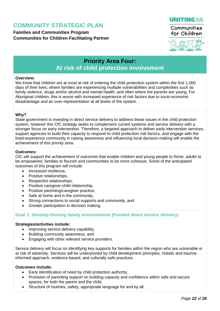**Families and Communities Program Communities for Children Facilitating Partner**



for Children



### **Priority Area Four: At risk of child protection involvement**

#### **Overview:**

We know that children are at most at risk of entering the child protection system within the first 1,000 days of their lives; where families are experiencing multiple vulnerabilities and complexities such as family violence, drugs and/or alcohol and mental health; and often where the parents are young. For Aboriginal children, this is worse with increased experience of risk factors due to socio-economic disadvantage and an over-representation at all levels of the system.

#### **Why?**

State government is investing in direct service delivery to address these issues in the child protection system, however this CfC strategy seeks to complement current systems and service delivery with a stronger focus on early intervention. Therefore, a targeted approach to deliver early intervention services, support agencies to build their capacity to respond to child protection risk factors, and engage with the lived-experience community in raising awareness and influencing local decision-making will enable the achievement of this priority area.

#### **Outcomes:**

CfC will support the achievement of outcomes that enable children and young people to thrive, adults to be empowered, families to flourish and communities to be more cohesive. Some of the anticipated outcomes of this program will include:

- Increased resilience.
- Positive relationships.
- Respectful relationships.
- Positive caregiver-child relationship,
- Positive parenting/caregiver practice,
- Safe at home and in the community,
- Strong connections to social supports and community, and
- Greater participation in decision making.

#### **Goal 1: Develop thriving family environments (Funded direct service delivery)**

#### **Strategies/activities include:**

- Improving service delivery capability,
- Building community awareness, and
- Engaging with other relevant service providers.

Service delivery will focus on identifying key supports for families within the region who are vulnerable or at risk of adversity. Services will be underpinned by child development principles, holistic and traumainformed approach, evidence-based, and culturally safe practices.

#### **Outcomes include:**

- Early identification of need by child protection authority,
- Provision of parenting support on building capacity and confidence within safe and secure spaces, for both the parent and the child,
- Structure of routines, safety, appropriate language for and by all,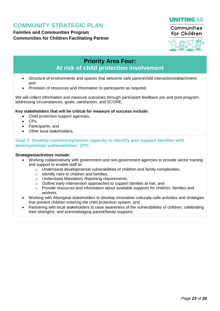**Families and Communities Program Communities for Children Facilitating Partner**



for Children



### **Priority Area Four: At risk of child protection involvement**

- Structure of environments and spaces that welcome safe parent/child interactions/attachment, and
- Provision of resources and information to participants as required.

We will collect information and measure outcomes through participant feedback pre and post-program, addressing circumstances, goals, satisfaction, and SCORE.

#### **Key stakeholders that will be critical for measure of success include:**

- Child protection support agencies,
- CPs,
- Participants, and
- Other local stakeholders.

#### **Goal 2: Develop community/sector capacity to identify and support families with developmental vulnerabilities (FP)**

#### **Strategies/activities include:**

- Working collaboratively with government and non-government agencies to provide sector training and support to enable staff to:
	- $\circ$  Understand developmental vulnerabilities of children and family complexities,
	- $\circ$  Identify risks to children and families.
	- o Understand Mandatory Reporting requirements,
	- o Outline early intervention approaches to support families at risk, and
	- o Provide resources and information about available supports for children, families and workers.
- Working with Aboriginal stakeholders to develop innovative culturally-safe activities and strategies that prevent children entering the child protection system, and
- Partnering with local stakeholders to raise awareness of the vulnerabilities of children, celebrating their strengths, and acknowledging parent/family supports.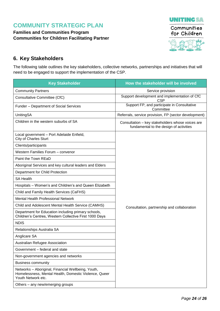**Families and Communities Program Communities for Children Facilitating Partner**



### <span id="page-24-0"></span>**6. Key Stakeholders**

The following table outlines the key stakeholders, collective networks, partnerships and initiatives that will need to be engaged to support the implementation of the CSP.

| <b>Key Stakeholder</b>                                                                                                            | How the stakeholder will be involved                                                        |  |  |  |  |
|-----------------------------------------------------------------------------------------------------------------------------------|---------------------------------------------------------------------------------------------|--|--|--|--|
| <b>Community Partners</b>                                                                                                         | Service provision                                                                           |  |  |  |  |
| Consultative Committee (CfC)                                                                                                      | Support development and implementation of CfC<br><b>CSP</b>                                 |  |  |  |  |
| <b>Funder – Department of Social Services</b>                                                                                     | Support FP, and participate in Consultative<br>Committee                                    |  |  |  |  |
| <b>UnitingSA</b>                                                                                                                  | Referrals, service provision, FP (sector development)                                       |  |  |  |  |
| Children in the western suburbs of SA                                                                                             | Consultation - key stakeholders whose voices are<br>fundamental to the design of activities |  |  |  |  |
| Local government - Port Adelaide Enfield,<br><b>City of Charles Sturt</b>                                                         |                                                                                             |  |  |  |  |
| Clients/participants                                                                                                              |                                                                                             |  |  |  |  |
| Western Families Forum - convenor                                                                                                 |                                                                                             |  |  |  |  |
| Paint the Town REaD                                                                                                               |                                                                                             |  |  |  |  |
| Aboriginal Services and key cultural leaders and Elders                                                                           |                                                                                             |  |  |  |  |
| Department for Child Protection                                                                                                   |                                                                                             |  |  |  |  |
| <b>SA Health</b>                                                                                                                  |                                                                                             |  |  |  |  |
| Hospitals - Women's and Children's and Queen Elizabeth                                                                            |                                                                                             |  |  |  |  |
| Child and Family Health Services (CaFHS)                                                                                          |                                                                                             |  |  |  |  |
| <b>Mental Health Professional Network</b>                                                                                         |                                                                                             |  |  |  |  |
| Child and Adolescent Mental Health Service (CAMHS)                                                                                | Consultation, partnership and collaboration                                                 |  |  |  |  |
| Department for Education including primary schools,<br>Children's Centres, Western Collective First 1000 Days                     |                                                                                             |  |  |  |  |
| <b>NDIS</b>                                                                                                                       |                                                                                             |  |  |  |  |
| Relationships Australia SA                                                                                                        |                                                                                             |  |  |  |  |
| Anglicare SA                                                                                                                      |                                                                                             |  |  |  |  |
| Australian Refugee Association                                                                                                    |                                                                                             |  |  |  |  |
| Government - federal and state                                                                                                    |                                                                                             |  |  |  |  |
| Non-government agencies and networks                                                                                              |                                                                                             |  |  |  |  |
| <b>Business community</b>                                                                                                         |                                                                                             |  |  |  |  |
| Networks - Aboriginal, Financial Wellbeing, Youth,<br>Homelessness, Mental Health, Domestic Violence, Queer<br>Youth Network etc. |                                                                                             |  |  |  |  |
| Others – any new/emerging groups                                                                                                  |                                                                                             |  |  |  |  |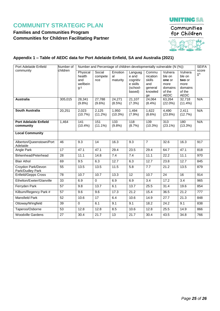### **Families and Communities Program Communities for Children Facilitating Partner**



#### **Appendix 1 – Table of AEDC data for Port Adelaide Enfield, SA and Australia (2021)**

| Port Adelaide Enfield                     | Number of       | Number and Percentage of children developmentally vulnerable (N (%)) |                          |                           |                                                                |                                                                |                                                                  |                                                                         | <b>SEIFA</b>        |
|-------------------------------------------|-----------------|----------------------------------------------------------------------|--------------------------|---------------------------|----------------------------------------------------------------|----------------------------------------------------------------|------------------------------------------------------------------|-------------------------------------------------------------------------|---------------------|
| community                                 | children        | Physical<br>health<br>and<br>wellbein<br>g ł                         | Social<br>compete<br>nce | Emotion<br>al<br>maturity | Languag<br>e and<br>cognitiv<br>e skills<br>(school-<br>based) | Commu<br>nication<br>skills<br>and<br>general<br>knowled<br>ge | Vulnera<br>ble on<br>one or<br>more<br>domains<br>of the<br>AEDC | Vulnera<br>ble on<br>two or<br>more<br>domains<br>of the<br><b>AEDC</b> | score<br>$\ddagger$ |
| <b>Australia</b>                          | 305,015         | 28,341<br>(9.8%)                                                     | 27,788<br>$(9.6\%)$      | 24,271<br>(8.5%)          | 21,107<br>(7.3%)                                               | 24,064<br>$(8.4\%)$                                            | 63,264<br>$(22.0\%)$                                             | 32,718<br>$(11.4\%)$                                                    | N/A                 |
| <b>South Australia</b>                    | 20,251          | 2,023<br>(10.7%)                                                     | 2,125<br>$(11.2\%)$      | 1,950<br>$(10.3\%)$       | 1,494<br>(7.9%)                                                | 1,622<br>$(8.6\%)$                                             | 4,490<br>(23.8%)                                                 | 2,411<br>(12.7%)                                                        | N/A                 |
| <b>Port Adelaide Enfield</b><br>community | 1,464           | 141<br>$(10.4\%)$                                                    | 151<br>$(11.1\%)$        | 133<br>(9.8%)             | $\overline{118}$<br>(8.7%)                                     | 139<br>$(10.3\%)$                                              | $\overline{313}$<br>$(23.1\%)$                                   | 180<br>$(13.3\%)$                                                       | N/A                 |
| <b>Local Community</b>                    |                 |                                                                      |                          |                           |                                                                |                                                                |                                                                  |                                                                         |                     |
| Alberton/Queenstown/Port<br>Adelaide      | 46              | 9.3                                                                  | 14                       | 16.3                      | 9.3                                                            | $\overline{7}$                                                 | 32.6                                                             | 16.3                                                                    | 917                 |
| Angle Park                                | 17              | 47.1                                                                 | 47.1                     | 29.4                      | 23.5                                                           | 29.4                                                           | 64.7                                                             | 47.1                                                                    | 818                 |
| Birkenhead/Peterhead                      | 28              | 11.1                                                                 | 14.8                     | 7.4                       | 7.4                                                            | 11.1                                                           | 22.2                                                             | $\overline{1}1.1$                                                       | 970                 |
| <b>Blair Athol</b>                        | 69              | 9.5                                                                  | 6.3                      | 12.7                      | 6.3                                                            | 12.7                                                           | 23.8                                                             | 12.7                                                                    | 845                 |
| Croydon Park/Devon<br>Park/Dudley Park    | $\overline{55}$ | 13.5                                                                 | 13.5                     | 11.5                      | 5.8                                                            | 7.7                                                            | 21.2                                                             | 13.5                                                                    | 879                 |
| <b>Enfield/Gepps Cross</b>                | 78              | 10.7                                                                 | 10.7                     | 13.3                      | $\overline{12}$                                                | 10.7                                                           | $\overline{24}$                                                  | 16                                                                      | 914                 |
| Ethelton/Exeter/Glanville                 | $\overline{33}$ | 6.9                                                                  | $\mathbf 0$              | 6.9                       | 6.9                                                            | $\overline{3.4}$                                               | 17.2                                                             | $\overline{3.4}$                                                        | 965                 |
| Ferryden Park                             | $\overline{57}$ | 9.8                                                                  | 13.7                     | 6.1                       | 13.7                                                           | 25.5                                                           | $\overline{31.4}$                                                | 19.6                                                                    | 854                 |
| Kilburn/Regency Park #                    | $\overline{57}$ | 9.6                                                                  | 9.6                      | 17.3                      | 21.2                                                           | 15.4                                                           | 36.5                                                             | 21.2                                                                    | 777                 |
| <b>Mansfield Park</b>                     | 52              | 10.6                                                                 | 17                       | 6.4                       | 10.6                                                           | 14.9                                                           | 27.7                                                             | 21.3                                                                    | 848                 |
| Ottoway/Wingfield                         | 39              | $\Omega$                                                             | 6.1                      | 9.1                       | 9.1                                                            | 18.2                                                           | 24.2                                                             | 9.1                                                                     | 838                 |
| Taperoo/Osborne                           | $\overline{53}$ | 12.8                                                                 | 12.8                     | 8.5                       | 10.6                                                           | 12.8                                                           | 25.5                                                             | 14.9                                                                    | 866                 |
| <b>Woodville Gardens</b>                  | 27              | 30.4                                                                 | 21.7                     | 13                        | 21.7                                                           | 30.4                                                           | 43.5                                                             | 34.8                                                                    | 766                 |